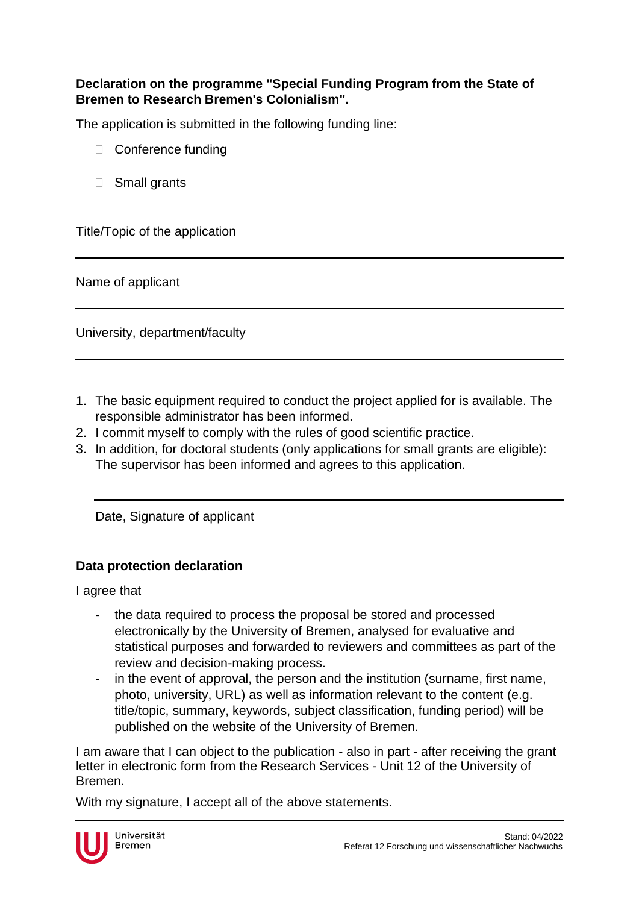## **Declaration on the programme "Special Funding Program from the State of Bremen to Research Bremen's Colonialism".**

The application is submitted in the following funding line:

- □ Conference funding
- □ Small grants

Title/Topic of the application

Name of applicant

University, department/faculty

- 1. The basic equipment required to conduct the project applied for is available. The responsible administrator has been informed.
- 2. I commit myself to comply with the rules of good scientific practice.
- 3. In addition, for doctoral students (only applications for small grants are eligible): The supervisor has been informed and agrees to this application.

Date, Signature of applicant

## **Data protection declaration**

I agree that

- the data required to process the proposal be stored and processed electronically by the University of Bremen, analysed for evaluative and statistical purposes and forwarded to reviewers and committees as part of the review and decision-making process.
- in the event of approval, the person and the institution (surname, first name, photo, university, URL) as well as information relevant to the content (e.g. title/topic, summary, keywords, subject classification, funding period) will be published on the website of the University of Bremen.

I am aware that I can object to the publication - also in part - after receiving the grant letter in electronic form from the Research Services - Unit 12 of the University of Bremen.

With my signature, I accept all of the above statements.